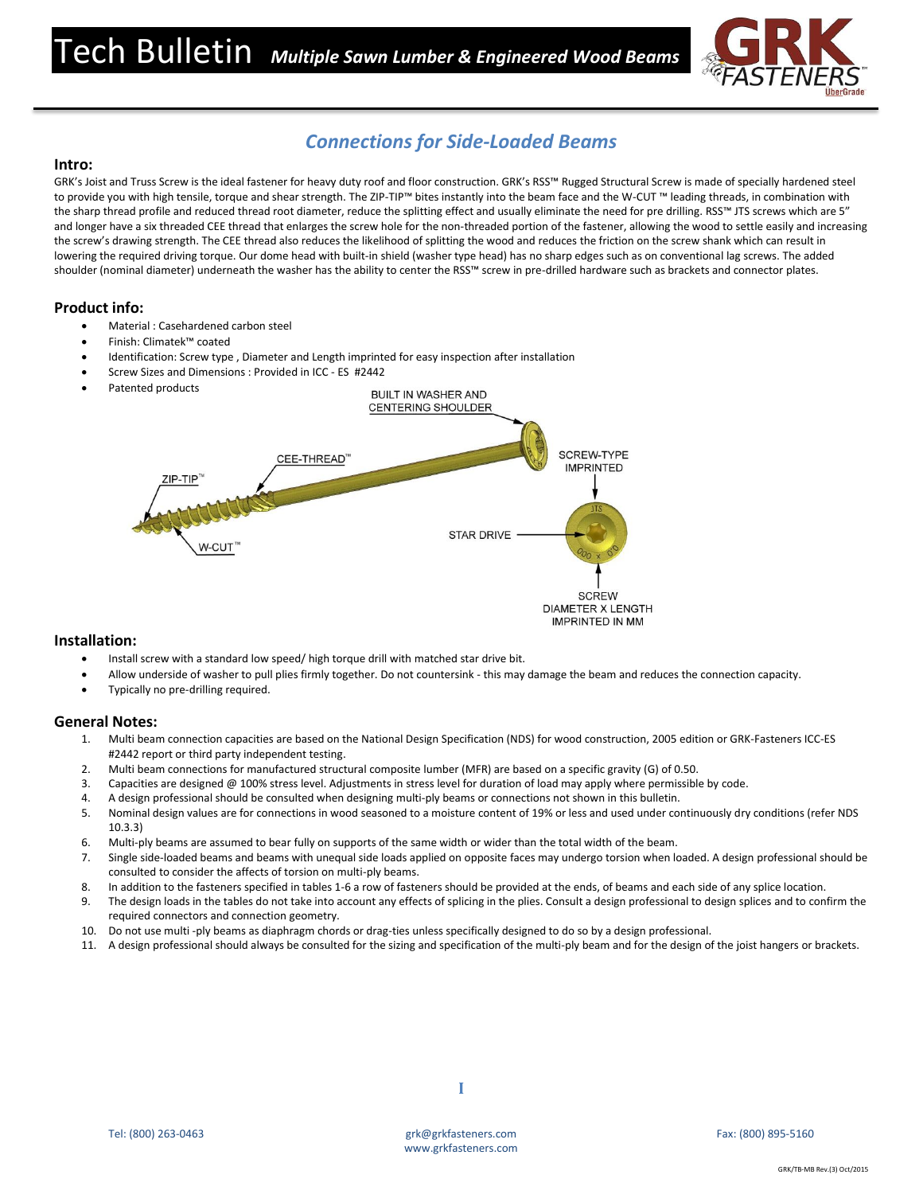

# *Connections for Side-Loaded Beams*

## **Intro:**

GRK's Joist and Truss Screw is the ideal fastener for heavy duty roof and floor construction. GRK's RSS™ Rugged Structural Screw is made of specially hardened steel to provide you with high tensile, torque and shear strength. The ZIP-TIP™ bites instantly into the beam face and the W-CUT ™ leading threads, in combination with the sharp thread profile and reduced thread root diameter, reduce the splitting effect and usually eliminate the need for pre drilling. RSS™ JTS screws which are 5" and longer have a six threaded CEE thread that enlarges the screw hole for the non-threaded portion of the fastener, allowing the wood to settle easily and increasing the screw's drawing strength. The CEE thread also reduces the likelihood of splitting the wood and reduces the friction on the screw shank which can result in lowering the required driving torque. Our dome head with built-in shield (washer type head) has no sharp edges such as on conventional lag screws. The added shoulder (nominal diameter) underneath the washer has the ability to center the RSS™ screw in pre-drilled hardware such as brackets and connector plates.

# **Product info:**

- Material : Casehardened carbon steel
- Finish: Climatek™ coated
- Identification: Screw type , Diameter and Length imprinted for easy inspection after installation
- Screw Sizes and Dimensions : Provided in ICC ES #2442
- Patented products



### **Installation:**

- Install screw with a standard low speed/ high torque drill with matched star drive bit.
- Allow underside of washer to pull plies firmly together. Do not countersink this may damage the beam and reduces the connection capacity.
- Typically no pre-drilling required.

#### **General Notes:**

- 1. Multi beam connection capacities are based on the National Design Specification (NDS) for wood construction, 2005 edition or GRK-Fasteners ICC-ES #2442 report or third party independent testing.
- 2. Multi beam connections for manufactured structural composite lumber (MFR) are based on a specific gravity (G) of 0.50.
- 3. Capacities are designed @ 100% stress level. Adjustments in stress level for duration of load may apply where permissible by code.
- 4. A design professional should be consulted when designing multi-ply beams or connections not shown in this bulletin.
- 5. Nominal design values are for connections in wood seasoned to a moisture content of 19% or less and used under continuously dry conditions (refer NDS 10.3.3)
- 6. Multi-ply beams are assumed to bear fully on supports of the same width or wider than the total width of the beam.
- 7. Single side-loaded beams and beams with unequal side loads applied on opposite faces may undergo torsion when loaded. A design professional should be consulted to consider the affects of torsion on multi-ply beams.
- 8. In addition to the fasteners specified in tables 1-6 a row of fasteners should be provided at the ends, of beams and each side of any splice location.
- 9. The design loads in the tables do not take into account any effects of splicing in the plies. Consult a design professional to design splices and to confirm the required connectors and connection geometry.
- 10. Do not use multi -ply beams as diaphragm chords or drag-ties unless specifically designed to do so by a design professional.
- 11. A design professional should always be consulted for the sizing and specification of the multi-ply beam and for the design of the joist hangers or brackets.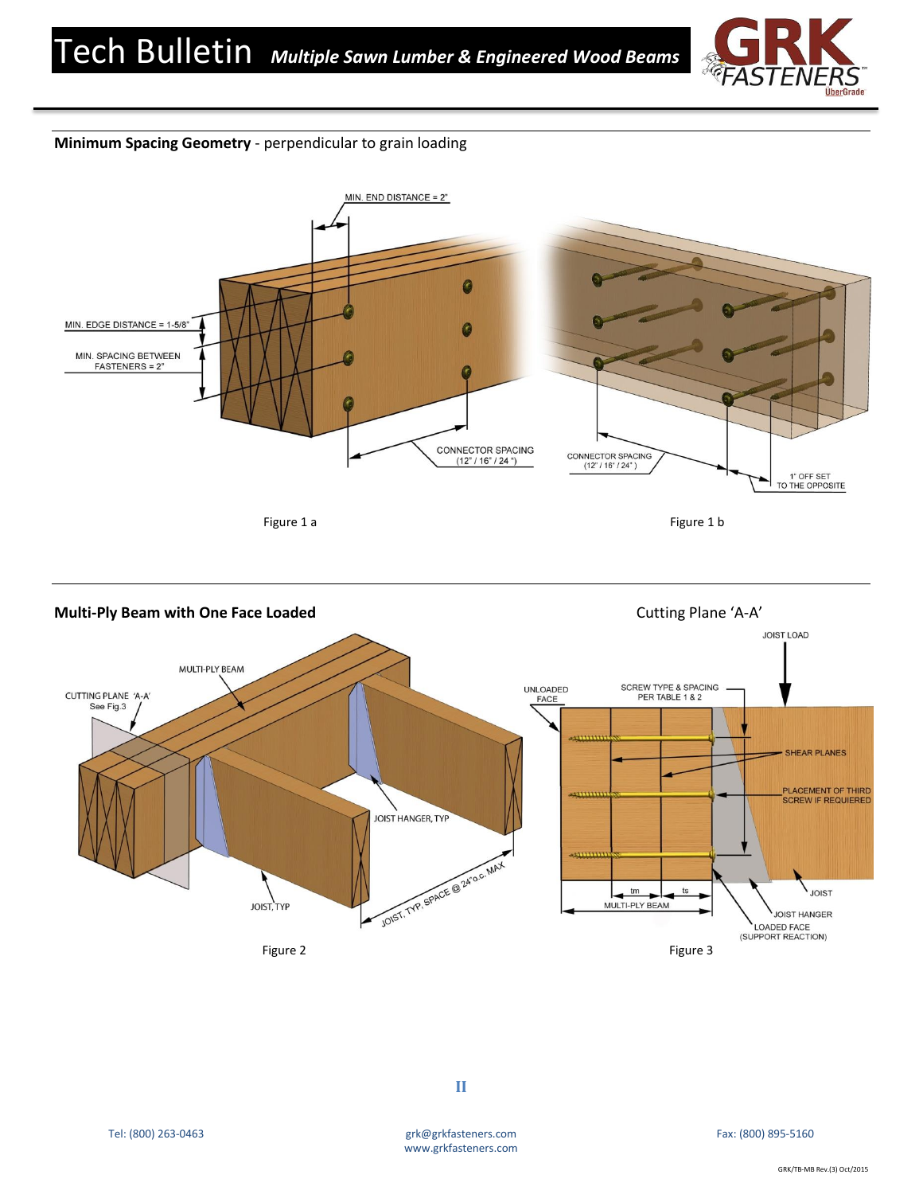

# **Minimum Spacing Geometry** - perpendicular to grain loading



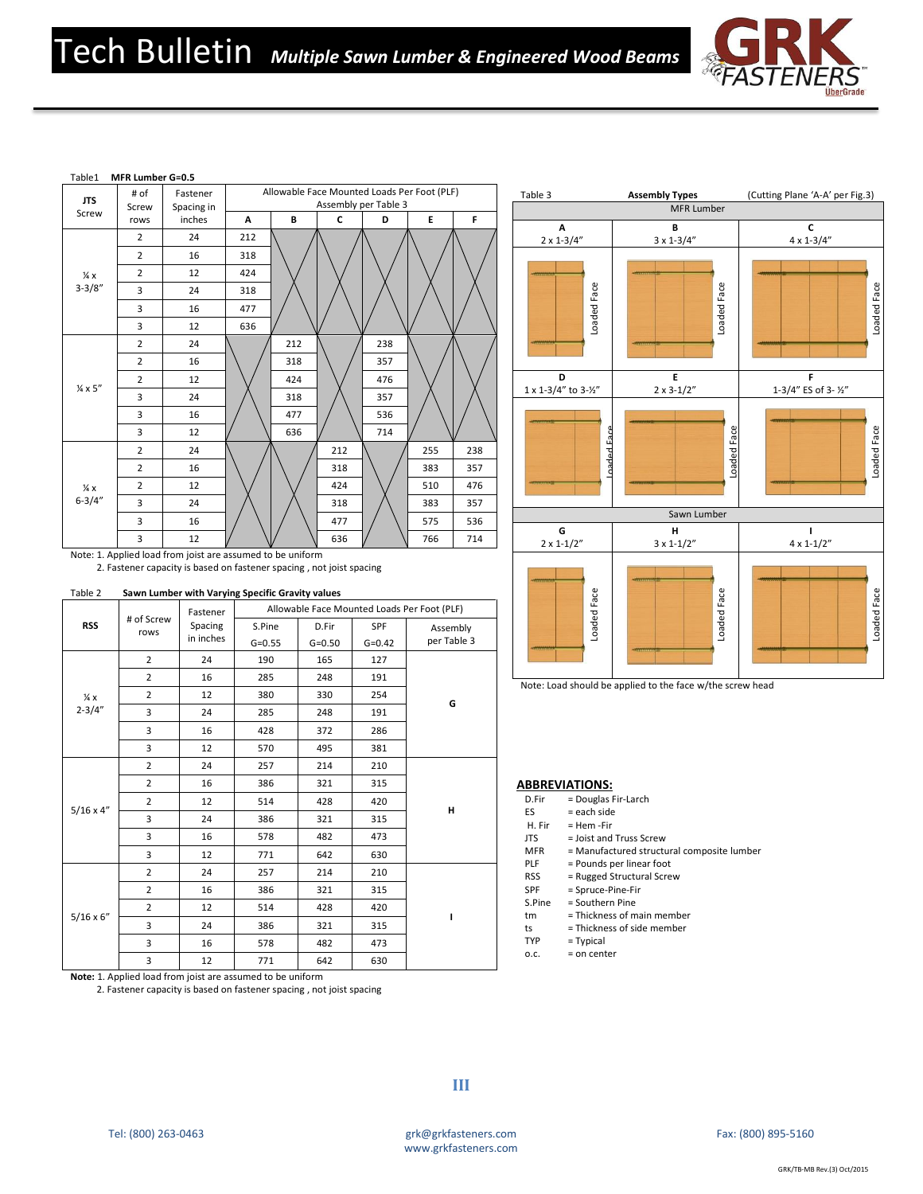



2. Fastener capacity is based on fastener spacing , not joist spacing

| Table 2 | Sawn Lumber with Varying Specific Gravity values |
|---------|--------------------------------------------------|
|         |                                                  |

| <b>RSS</b>                   | # of Screw<br>rows | Fastener             | Allowable Face Mounted Loads Per Foot (PLF) |                     |                   |                         |  |
|------------------------------|--------------------|----------------------|---------------------------------------------|---------------------|-------------------|-------------------------|--|
|                              |                    | Spacing<br>in inches | S.Pine<br>$G = 0.55$                        | D.Fir<br>$G = 0.50$ | SPF<br>$G = 0.42$ | Assembly<br>per Table 3 |  |
| $\frac{1}{4}x$<br>$2 - 3/4"$ | $\overline{2}$     | 24                   | 190                                         | 165                 | 127               |                         |  |
|                              | $\overline{2}$     | 16                   | 285                                         | 248                 | 191               |                         |  |
|                              | $\overline{2}$     | 12                   | 380                                         | 330                 | 254               |                         |  |
|                              | 3                  | 24                   | 285                                         | 248                 | 191               | G                       |  |
|                              | 3                  | 16                   | 428                                         | 372                 | 286               |                         |  |
|                              | 3                  | 12                   | 570                                         | 495                 | 381               |                         |  |
| $5/16 \times 4"$             | $\overline{2}$     | 24                   | 257                                         | 214                 | 210               |                         |  |
|                              | $\overline{2}$     | 16                   | 386                                         | 321                 | 315               |                         |  |
|                              | $\overline{2}$     | 12                   | 514                                         | 428                 | 420               | Н                       |  |
|                              | 3                  | 24                   | 386                                         | 321                 | 315               |                         |  |
|                              | $\overline{3}$     | 16                   | 578                                         | 482                 | 473               |                         |  |
|                              | 3                  | 12                   | 771                                         | 642                 | 630               |                         |  |
| $5/16 \times 6''$            | $\overline{2}$     | 24                   | 257                                         | 214                 | 210               |                         |  |
|                              | $\overline{2}$     | 16                   | 386                                         | 321                 | 315               |                         |  |
|                              | $\overline{2}$     | 12                   | 514                                         | 428                 | 420               | ı                       |  |
|                              | 3                  | 24                   | 386                                         | 321                 | 315               |                         |  |
|                              | 3                  | 16                   | 578                                         | 482                 | 473               |                         |  |
|                              | 3                  | 12                   | 771                                         | 642                 | 630               |                         |  |



2. Fastener capacity is based on fastener spacing , not joist spacing



Note: Load should be applied to the face w/the screw head

#### **ABBREVIATIONS:**

- D.Fir = Douglas Fir-Larch
- ES = each side

PLF

ts

- H. Fir JTS = Hem -Fir
	- = Joist and Truss Screw
- MFR = Manufactured structural composite lumber
	- = Pounds per linear foot
- RSS = Rugged Structural Screw
- SPF S.Pine = Spruce-Pine-Fir = Southern Pine
	- = Thickness of main member
- tm = Thickness of side member
- TYP = Typical
- o.c. = on center